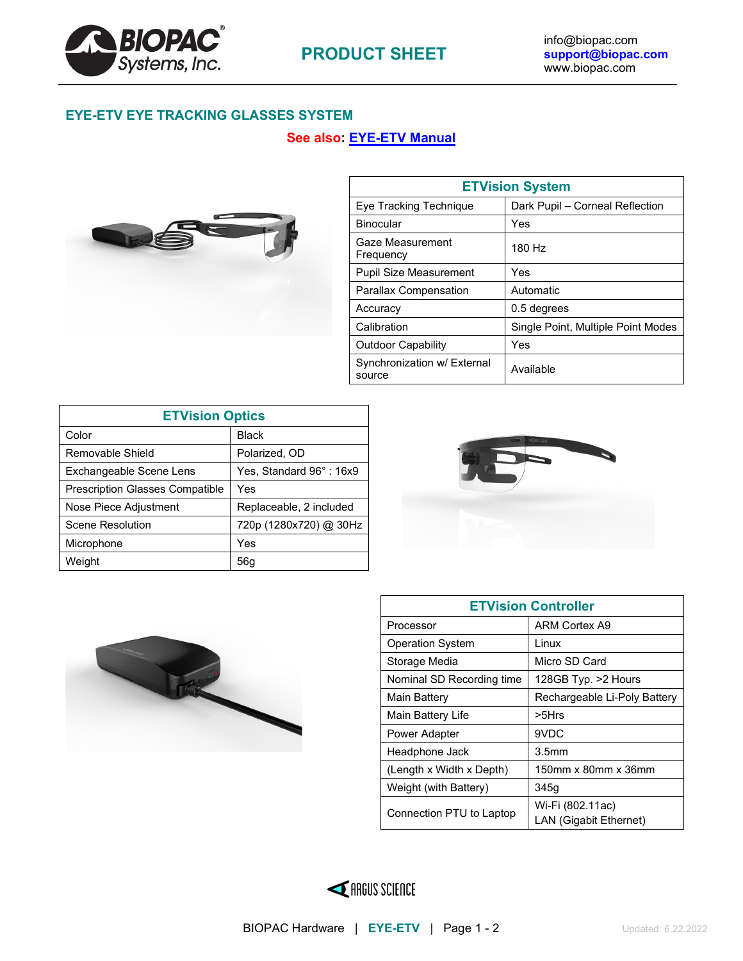

# **EYE-ETV EYE TRACKING GLASSES SYSTEM**

## **See also: [EYE-ETV Manual](https://www.biopac.com/wp-content/uploads/ETVision_Manual.pdf)**



| <b>ETVision System</b>                |                                    |  |
|---------------------------------------|------------------------------------|--|
| Eye Tracking Technique                | Dark Pupil - Corneal Reflection    |  |
| <b>Binocular</b>                      | Yes                                |  |
| Gaze Measurement<br>Frequency         | 180 Hz                             |  |
| <b>Pupil Size Measurement</b>         | Yes                                |  |
| <b>Parallax Compensation</b>          | Automatic                          |  |
| Accuracy                              | 0.5 degrees                        |  |
| Calibration                           | Single Point, Multiple Point Modes |  |
| <b>Outdoor Capability</b>             | Yes                                |  |
| Synchronization w/ External<br>source | Available                          |  |

| <b>ETVision Optics</b>                 |                         |
|----------------------------------------|-------------------------|
| Color                                  | <b>Black</b>            |
| Removable Shield                       | Polarized, OD           |
| Exchangeable Scene Lens                | Yes, Standard 96°: 16x9 |
| <b>Prescription Glasses Compatible</b> | Yes                     |
| Nose Piece Adjustment                  | Replaceable, 2 included |
| Scene Resolution                       | 720p (1280x720) @ 30Hz  |
| Microphone                             | Yes                     |
| Weight                                 | 56a                     |





| <b>ETVision Controller</b> |                                                   |  |
|----------------------------|---------------------------------------------------|--|
| Processor                  | <b>ARM Cortex A9</b>                              |  |
| <b>Operation System</b>    | Linux                                             |  |
| Storage Media              | Micro SD Card                                     |  |
| Nominal SD Recording time  | 128GB Typ. > 2 Hours                              |  |
| Main Battery               | Rechargeable Li-Poly Battery                      |  |
| Main Battery Life          | $> 5$ Hrs                                         |  |
| Power Adapter              | 9VDC                                              |  |
| Headphone Jack             | 3.5 <sub>mm</sub>                                 |  |
| (Length x Width x Depth)   | 150mm x 80mm x 36mm                               |  |
| Weight (with Battery)      | 345g                                              |  |
| Connection PTU to Laptop   | Wi-Fi (802.11ac)<br><b>LAN (Gigabit Ethernet)</b> |  |